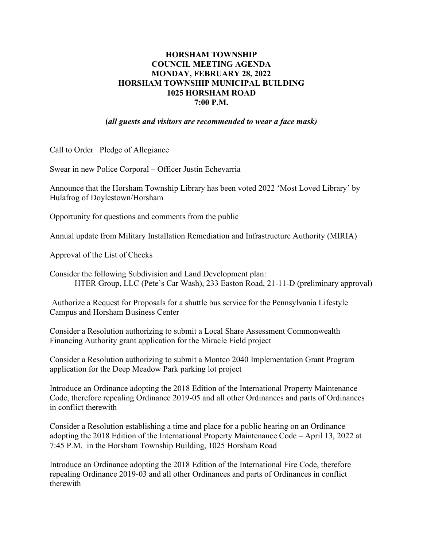## **HORSHAM TOWNSHIP COUNCIL MEETING AGENDA MONDAY, FEBRUARY 28, 2022 HORSHAM TOWNSHIP MUNICIPAL BUILDING 1025 HORSHAM ROAD 7:00 P.M.**

**(***all guests and visitors are recommended to wear a face mask)*

Call to Order Pledge of Allegiance

Swear in new Police Corporal – Officer Justin Echevarria

Announce that the Horsham Township Library has been voted 2022 'Most Loved Library' by Hulafrog of Doylestown/Horsham

Opportunity for questions and comments from the public

Annual update from Military Installation Remediation and Infrastructure Authority (MIRIA)

Approval of the List of Checks

Consider the following Subdivision and Land Development plan: HTER Group, LLC (Pete's Car Wash), 233 Easton Road, 21-11-D (preliminary approval)

Authorize a Request for Proposals for a shuttle bus service for the Pennsylvania Lifestyle Campus and Horsham Business Center

Consider a Resolution authorizing to submit a Local Share Assessment Commonwealth Financing Authority grant application for the Miracle Field project

Consider a Resolution authorizing to submit a Montco 2040 Implementation Grant Program application for the Deep Meadow Park parking lot project

Introduce an Ordinance adopting the 2018 Edition of the International Property Maintenance Code, therefore repealing Ordinance 2019-05 and all other Ordinances and parts of Ordinances in conflict therewith

Consider a Resolution establishing a time and place for a public hearing on an Ordinance adopting the 2018 Edition of the International Property Maintenance Code – April 13, 2022 at 7:45 P.M. in the Horsham Township Building, 1025 Horsham Road

Introduce an Ordinance adopting the 2018 Edition of the International Fire Code, therefore repealing Ordinance 2019-03 and all other Ordinances and parts of Ordinances in conflict therewith